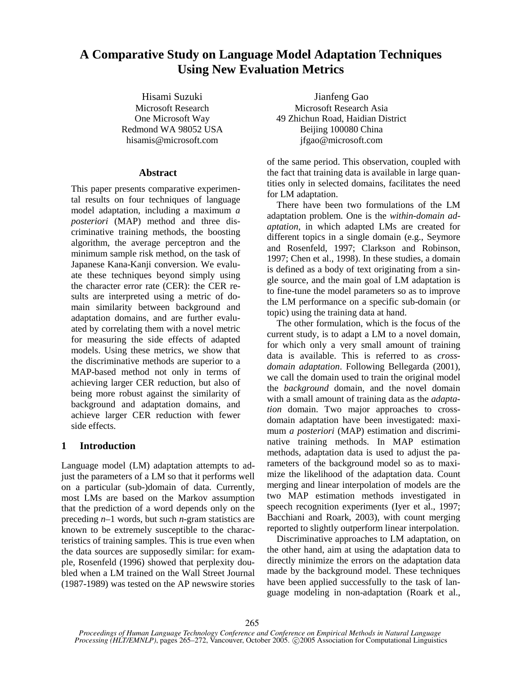# **A Comparative Study on Language Model Adaptation Techniques Using New Evaluation Metrics**

# **Abstract**

This paper presents comparative experimental results on four techniques of language model adaptation, including a maximum *a posteriori* (MAP) method and three discriminative training methods, the boosting algorithm, the average perceptron and the minimum sample risk method, on the task of Japanese Kana-Kanji conversion. We evaluate these techniques beyond simply using the character error rate (CER): the CER results are interpreted using a metric of domain similarity between background and adaptation domains, and are further evaluated by correlating them with a novel metric for measuring the side effects of adapted models. Using these metrics, we show that the discriminative methods are superior to a MAP-based method not only in terms of achieving larger CER reduction, but also of being more robust against the similarity of background and adaptation domains, and achieve larger CER reduction with fewer side effects.

# **1 Introduction**

Language model (LM) adaptation attempts to adjust the parameters of a LM so that it performs well on a particular (sub-)domain of data. Currently, most LMs are based on the Markov assumption that the prediction of a word depends only on the preceding *n*–1 words, but such *n*-gram statistics are known to be extremely susceptible to the characteristics of training samples. This is true even when the data sources are supposedly similar: for example, Rosenfeld (1996) showed that perplexity doubled when a LM trained on the Wall Street Journal (1987-1989) was tested on the AP newswire stories

Hisami Suzuki Jianfeng Gao Microsoft Research Microsoft Research Asia One Microsoft Way 49 Zhichun Road, Haidian District Redmond WA 98052 USA Beijing 100080 China hisamis@microsoft.com jfgao@microsoft.com

> of the same period. This observation, coupled with the fact that training data is available in large quantities only in selected domains, facilitates the need for LM adaptation.

> There have been two formulations of the LM adaptation problem. One is the *within-domain adaptation*, in which adapted LMs are created for different topics in a single domain (e.g., Seymore and Rosenfeld, 1997; Clarkson and Robinson, 1997; Chen et al., 1998). In these studies, a domain is defined as a body of text originating from a single source, and the main goal of LM adaptation is to fine-tune the model parameters so as to improve the LM performance on a specific sub-domain (or topic) using the training data at hand.

> The other formulation, which is the focus of the current study, is to adapt a LM to a novel domain, for which only a very small amount of training data is available. This is referred to as *crossdomain adaptation*. Following Bellegarda (2001), we call the domain used to train the original model the *background* domain, and the novel domain with a small amount of training data as the *adaptation* domain. Two major approaches to crossdomain adaptation have been investigated: maximum *a posteriori* (MAP) estimation and discriminative training methods. In MAP estimation methods, adaptation data is used to adjust the parameters of the background model so as to maximize the likelihood of the adaptation data. Count merging and linear interpolation of models are the two MAP estimation methods investigated in speech recognition experiments (Iyer et al., 1997; Bacchiani and Roark, 2003), with count merging reported to slightly outperform linear interpolation.

> Discriminative approaches to LM adaptation, on the other hand, aim at using the adaptation data to directly minimize the errors on the adaptation data made by the background model. These techniques have been applied successfully to the task of language modeling in non-adaptation (Roark et al.,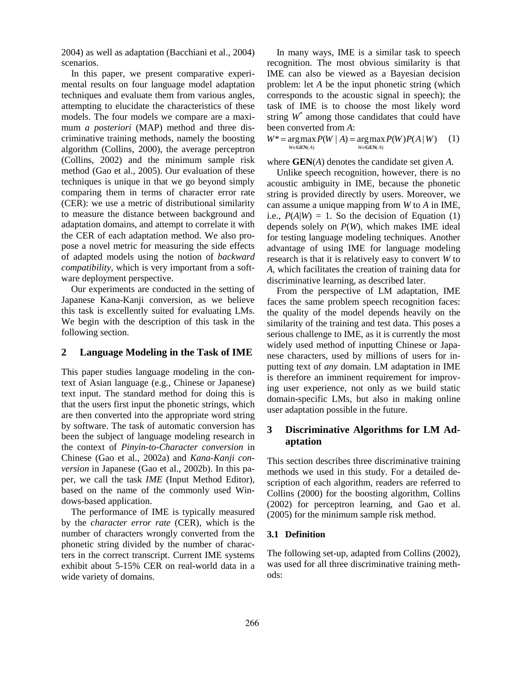2004) as well as adaptation (Bacchiani et al., 2004) scenarios.

In this paper, we present comparative experimental results on four language model adaptation techniques and evaluate them from various angles, attempting to elucidate the characteristics of these models. The four models we compare are a maximum *a posteriori* (MAP) method and three discriminative training methods, namely the boosting algorithm (Collins, 2000), the average perceptron (Collins, 2002) and the minimum sample risk method (Gao et al., 2005). Our evaluation of these techniques is unique in that we go beyond simply comparing them in terms of character error rate (CER): we use a metric of distributional similarity to measure the distance between background and adaptation domains, and attempt to correlate it with the CER of each adaptation method. We also propose a novel metric for measuring the side effects of adapted models using the notion of *backward compatibility*, which is very important from a software deployment perspective.

Our experiments are conducted in the setting of Japanese Kana-Kanji conversion, as we believe this task is excellently suited for evaluating LMs. We begin with the description of this task in the following section.

# **2 Language Modeling in the Task of IME**

This paper studies language modeling in the context of Asian language (e.g., Chinese or Japanese) text input. The standard method for doing this is that the users first input the phonetic strings, which are then converted into the appropriate word string by software. The task of automatic conversion has been the subject of language modeling research in the context of *Pinyin-to-Character conversion* in Chinese (Gao et al., 2002a) and *Kana-Kanji conversion* in Japanese (Gao et al., 2002b). In this paper, we call the task *IME* (Input Method Editor), based on the name of the commonly used Windows-based application.

The performance of IME is typically measured by the *character error rate* (CER), which is the number of characters wrongly converted from the phonetic string divided by the number of characters in the correct transcript. Current IME systems exhibit about 5-15% CER on real-world data in a wide variety of domains.

In many ways, IME is a similar task to speech recognition. The most obvious similarity is that IME can also be viewed as a Bayesian decision problem: let *A* be the input phonetic string (which corresponds to the acoustic signal in speech); the task of IME is to choose the most likely word string *W\** among those candidates that could have been converted from *A*:

 $W^* = \arg \max P(W | A) = \arg \max P(W) P(A | W)$  (1)  $W \in \mathbf{GEN}(A)$  $W \in \mathbf{GEN}(A)$ 

where **GEN**(*A*) denotes the candidate set given *A*.

Unlike speech recognition, however, there is no acoustic ambiguity in IME, because the phonetic string is provided directly by users. Moreover, we can assume a unique mapping from *W* to *A* in IME, i.e.,  $P(A|W) = 1$ . So the decision of Equation (1) depends solely on *P*(*W*), which makes IME ideal for testing language modeling techniques. Another advantage of using IME for language modeling research is that it is relatively easy to convert *W* to *A*, which facilitates the creation of training data for discriminative learning, as described later.

From the perspective of LM adaptation, IME faces the same problem speech recognition faces: the quality of the model depends heavily on the similarity of the training and test data. This poses a serious challenge to IME, as it is currently the most widely used method of inputting Chinese or Japanese characters, used by millions of users for inputting text of *any* domain. LM adaptation in IME is therefore an imminent requirement for improving user experience, not only as we build static domain-specific LMs, but also in making online user adaptation possible in the future.

# **3 Discriminative Algorithms for LM Adaptation**

This section describes three discriminative training methods we used in this study. For a detailed description of each algorithm, readers are referred to Collins (2000) for the boosting algorithm, Collins (2002) for perceptron learning, and Gao et al. (2005) for the minimum sample risk method.

# **3.1 Definition**

The following set-up, adapted from Collins (2002), was used for all three discriminative training methods: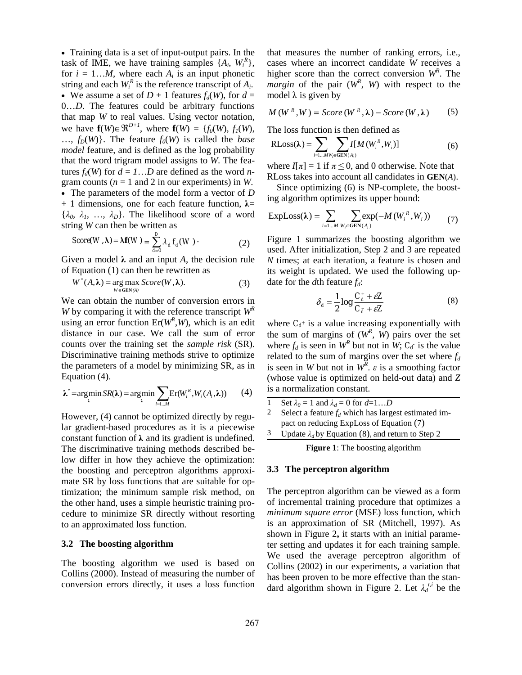• Training data is a set of input-output pairs. In the task of IME, we have training samples  $\{A_i, W_i^R\}$ , for  $i = 1...M$ , where each  $A_i$  is an input phonetic string and each  $W_i^R$  is the reference transcript of  $A_i$ . • We assume a set of  $D + 1$  features  $f_d(W)$ , for  $d =$ 0…*D*. The features could be arbitrary functions that map *W* to real values. Using vector notation, we have  $f(W) \in \mathbb{R}^{D+1}$ , where  $f(W) = \{f_0(W), f_1(W),$  $..., f_D(W)$ . The feature  $f_O(W)$  is called the *base model* feature, and is defined as the log probability that the word trigram model assigns to *W*. The features  $f_d(W)$  for  $d = 1...D$  are defined as the word *n*gram counts ( $n = 1$  and 2 in our experiments) in *W*. • The parameters of the model form a vector of *D*   $+ 1$  dimensions, one for each feature function,  $\lambda =$  $\{\lambda_0, \lambda_1, \ldots, \lambda_D\}$ . The likelihood score of a word string *W* can then be written as

$$
Score(W, \lambda) = \lambda f(W) = \sum_{d=0}^{D} \lambda_d f_d(W) \tag{2}
$$

Given a model λ and an input *A*, the decision rule of Equation (1) can then be rewritten as

$$
W^*(A,\lambda) = \underset{W \in \text{GEN}(A)}{\text{arg max}} \; Score(W,\lambda). \tag{3}
$$

We can obtain the number of conversion errors in *W* by comparing it with the reference transcript *WR* using an error function  $Er(W^R, W)$ , which is an edit distance in our case. We call the sum of error counts over the training set the *sample risk* (SR). Discriminative training methods strive to optimize the parameters of a model by minimizing SR, as in Equation (4).

$$
\lambda^* = \underset{\lambda}{\operatorname{argmin}} \, SR(\lambda) = \underset{\lambda}{\operatorname{argmin}} \sum_{i=1...M} \operatorname{Er}(W_i^R, W_i(A_i, \lambda)) \tag{4}
$$

However, (4) cannot be optimized directly by regular gradient-based procedures as it is a piecewise constant function of  $\lambda$  and its gradient is undefined. The discriminative training methods described below differ in how they achieve the optimization: the boosting and perceptron algorithms approximate SR by loss functions that are suitable for optimization; the minimum sample risk method, on the other hand, uses a simple heuristic training procedure to minimize SR directly without resorting to an approximated loss function.

### **3.2 The boosting algorithm**

The boosting algorithm we used is based on Collins (2000). Instead of measuring the number of conversion errors directly, it uses a loss function that measures the number of ranking errors, i.e., cases where an incorrect candidate *W* receives a higher score than the correct conversion *WR* . The *margin* of the pair  $(W^R, W)$  with respect to the model  $\lambda$  is given by

$$
M(WR, W) = Score(WR, \lambda) - Score(W, \lambda)
$$
 (5)

The loss function is then defined as

$$
RLoss(\lambda) = \sum_{i=1...MW_i \in GEN(A_i)} I[M(W_i^R, W_i)]
$$
 (6)

where  $I[\pi] = 1$  if  $\pi \leq 0$ , and 0 otherwise. Note that RLoss takes into account all candidates in **GEN**(*A*).

Since optimizing (6) is NP-complete, the boosting algorithm optimizes its upper bound:

$$
ExpLoss(\lambda) = \sum_{i=1...M} \sum_{W_i \in GEN(A_i)} exp(-M(W_i^R, W_i))
$$
 (7)

Figure 1 summarizes the boosting algorithm we used. After initialization, Step 2 and 3 are repeated *N* times; at each iteration, a feature is chosen and its weight is updated. We used the following update for the  $d$ th feature  $f_d$ :

$$
\delta_d = \frac{1}{2} \log \frac{C_d^+ + \varepsilon Z}{C_{\bar{d}}^- + \varepsilon Z} \tag{8}
$$

where  $C_d^+$  is a value increasing exponentially with the sum of margins of  $(W^R, W)$  pairs over the set where  $f_d$  is seen in  $W^R$  but not in  $W$ ;  $C_d$  is the value related to the sum of margins over the set where  $f_d$ is seen in *W* but not in  $W^R$ .  $\varepsilon$  is a smoothing factor (whose value is optimized on held-out data) and *Z* is a normalization constant.

1 Set  $\lambda_0 = 1$  and  $\lambda_d = 0$  for  $d=1...D$ 2 Select a feature  $f_d$  which has largest estimated impact on reducing ExpLoss of Equation (7) 3 Update  $\lambda_d$  by Equation (8), and return to Step 2

**Figure 1**: The boosting algorithm

# **3.3 The perceptron algorithm**

The perceptron algorithm can be viewed as a form of incremental training procedure that optimizes a *minimum square error* (MSE) loss function, which is an approximation of SR (Mitchell, 1997). As shown in Figure 2**,** it starts with an initial parameter setting and updates it for each training sample. We used the average perceptron algorithm of Collins (2002) in our experiments, a variation that has been proven to be more effective than the standard algorithm shown in Figure 2. Let  $\lambda_d^{t,i}$  be the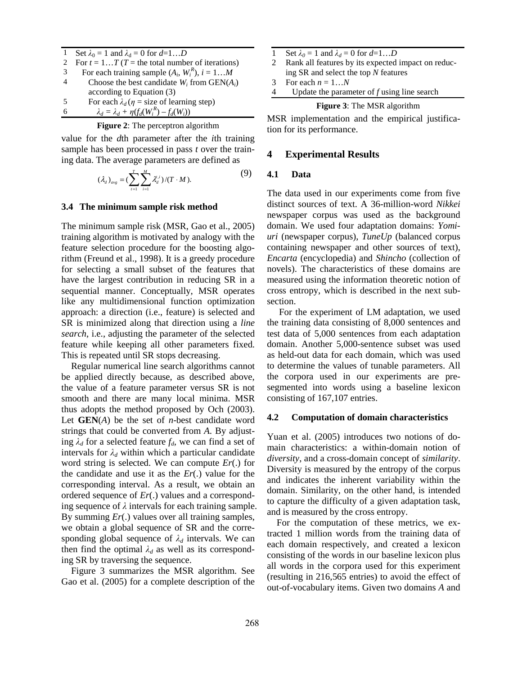|   | Set $\lambda_0 = 1$ and $\lambda_d = 0$ for $d=1D$     |
|---|--------------------------------------------------------|
| 2 | For $t = 1T$ (T = the total number of iterations)      |
| 3 | For each training sample $(A_i, W_i^R)$ , $i = 1M$     |
|   | Choose the best candidate $W_i$ from $GEN(A_i)$        |
|   | according to Equation (3)                              |
| 5 | For each $\lambda_d$ ( $\eta$ = size of learning step) |
|   | $\lambda_d = \lambda_d + \eta(f_d(W_i^R) - f_d(W_i))$  |

**Figure 2**: The perceptron algorithm

value for the *d*th parameter after the *i*th training sample has been processed in pass *t* over the training data. The average parameters are defined as

$$
(\lambda_d)_{avg} = (\sum_{i=1}^T \sum_{i=1}^M \lambda_d^{i,i})/(T \cdot M). \tag{9}
$$

### **3.4 The minimum sample risk method**

The minimum sample risk (MSR, Gao et al., 2005) training algorithm is motivated by analogy with the feature selection procedure for the boosting algorithm (Freund et al., 1998). It is a greedy procedure for selecting a small subset of the features that have the largest contribution in reducing SR in a sequential manner. Conceptually, MSR operates like any multidimensional function optimization approach: a direction (i.e., feature) is selected and SR is minimized along that direction using a *line search*, i.e., adjusting the parameter of the selected feature while keeping all other parameters fixed. This is repeated until SR stops decreasing.

Regular numerical line search algorithms cannot be applied directly because, as described above, the value of a feature parameter versus SR is not smooth and there are many local minima. MSR thus adopts the method proposed by Och (2003). Let **GEN**(*A*) be the set of *n*-best candidate word strings that could be converted from *A*. By adjusting  $\lambda_d$  for a selected feature  $f_d$ , we can find a set of intervals for  $\lambda_d$  within which a particular candidate word string is selected. We can compute *Er*(.) for the candidate and use it as the *Er*(.) value for the corresponding interval. As a result, we obtain an ordered sequence of *Er*(.) values and a corresponding sequence of  $\lambda$  intervals for each training sample. By summing *Er*(.) values over all training samples, we obtain a global sequence of SR and the corresponding global sequence of  $\lambda_d$  intervals. We can then find the optimal  $\lambda_d$  as well as its corresponding SR by traversing the sequence.

Figure 3 summarizes the MSR algorithm. See Gao et al. (2005) for a complete description of the

- 1 Set  $\lambda_0 = 1$  and  $\lambda_d = 0$  for  $d=1...D$
- 2 Rank all features by its expected impact on reducing SR and select the top *N* features
- 3 For each  $n = 1...N$
- 4 Update the parameter of *f* using line search

#### **Figure 3**: The MSR algorithm

MSR implementation and the empirical justification for its performance.

# **4 Experimental Results**

# **4.1 Data**

The data used in our experiments come from five distinct sources of text. A 36-million-word *Nikkei* newspaper corpus was used as the background domain. We used four adaptation domains: *Yomiuri* (newspaper corpus), *TuneUp* (balanced corpus containing newspaper and other sources of text), *Encarta* (encyclopedia) and *Shincho* (collection of novels). The characteristics of these domains are measured using the information theoretic notion of cross entropy, which is described in the next subsection.

 For the experiment of LM adaptation, we used the training data consisting of 8,000 sentences and test data of 5,000 sentences from each adaptation domain. Another 5,000-sentence subset was used as held-out data for each domain, which was used to determine the values of tunable parameters. All the corpora used in our experiments are presegmented into words using a baseline lexicon consisting of 167,107 entries.

#### **4.2 Computation of domain characteristics**

Yuan et al. (2005) introduces two notions of domain characteristics: a within-domain notion of *diversity*, and a cross-domain concept of *similarity*. Diversity is measured by the entropy of the corpus and indicates the inherent variability within the domain. Similarity, on the other hand, is intended to capture the difficulty of a given adaptation task, and is measured by the cross entropy.

For the computation of these metrics, we extracted 1 million words from the training data of each domain respectively, and created a lexicon consisting of the words in our baseline lexicon plus all words in the corpora used for this experiment (resulting in 216,565 entries) to avoid the effect of out-of-vocabulary items. Given two domains *A* and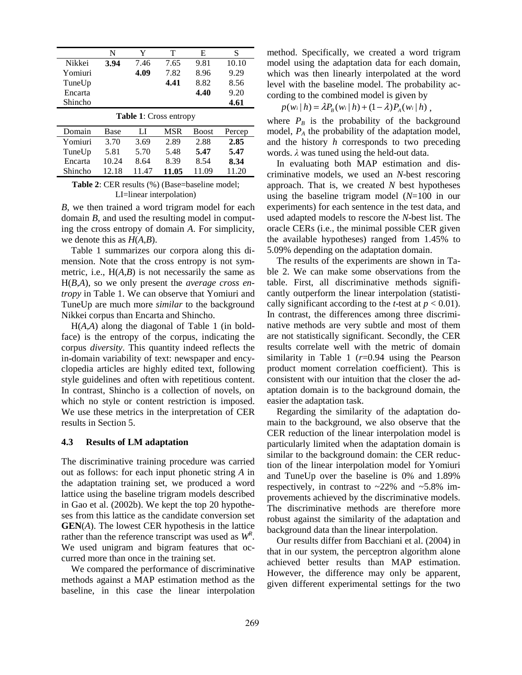|         | N    |      | т    | E    |       |
|---------|------|------|------|------|-------|
| Nikkei  | 3.94 | 7.46 | 7.65 | 9.81 | 10.10 |
| Yomiuri |      | 4.09 | 7.82 | 8.96 | 9.29  |
| TuneUp  |      |      | 4.41 | 8.82 | 8.56  |
| Encarta |      |      |      | 4.40 | 9.20  |
| Shincho |      |      |      |      | 4.61  |
|         |      |      |      |      |       |

| Table 1: Cross entropy |       |       |       |              |        |  |  |  |  |
|------------------------|-------|-------|-------|--------------|--------|--|--|--|--|
| Domain                 | Base  | LI    | MSR   | <b>Boost</b> | Percep |  |  |  |  |
| Yomiuri                | 3.70  | 3.69  | 2.89  | 2.88         | 2.85   |  |  |  |  |
| TuneUp                 | 5.81  | 5.70  | 5.48  | 5.47         | 5.47   |  |  |  |  |
| Encarta                | 10.24 | 8.64  | 8.39  | 8.54         | 8.34   |  |  |  |  |
| Shincho                | 12.18 | 11 47 | 11.05 | 11 09        | 11 20  |  |  |  |  |

**Table 2**: CER results (%) (Base=baseline model; LI=linear interpolation)

*B*, we then trained a word trigram model for each domain *B*, and used the resulting model in computing the cross entropy of domain *A*. For simplicity, we denote this as *H*(*A,B*).

Table 1 summarizes our corpora along this dimension. Note that the cross entropy is not symmetric, i.e.,  $H(A, B)$  is not necessarily the same as H(*B,A*), so we only present the *average cross entropy* in Table 1. We can observe that Yomiuri and TuneUp are much more *similar* to the background Nikkei corpus than Encarta and Shincho.

H(*A,A*) along the diagonal of Table 1 (in boldface) is the entropy of the corpus, indicating the corpus *diversity*. This quantity indeed reflects the in-domain variability of text: newspaper and encyclopedia articles are highly edited text, following style guidelines and often with repetitious content. In contrast, Shincho is a collection of novels, on which no style or content restriction is imposed. We use these metrics in the interpretation of CER results in Section 5.

# **4.3 Results of LM adaptation**

The discriminative training procedure was carried out as follows: for each input phonetic string *A* in the adaptation training set, we produced a word lattice using the baseline trigram models described in Gao et al. (2002b). We kept the top 20 hypotheses from this lattice as the candidate conversion set **GEN**(*A*). The lowest CER hypothesis in the lattice rather than the reference transcript was used as  $W^R$ . We used unigram and bigram features that occurred more than once in the training set.

We compared the performance of discriminative methods against a MAP estimation method as the baseline, in this case the linear interpolation method. Specifically, we created a word trigram model using the adaptation data for each domain, which was then linearly interpolated at the word level with the baseline model. The probability according to the combined model is given by

$$
p(w_i | h) = \lambda P_B(w_i | h) + (1 - \lambda) P_A(w_i | h) ,
$$

where  $P_B$  is the probability of the background model,  $P_A$  the probability of the adaptation model, and the history *h* corresponds to two preceding words. *λ* was tuned using the held-out data.

In evaluating both MAP estimation and discriminative models, we used an *N*-best rescoring approach. That is, we created *N* best hypotheses using the baseline trigram model (*N*=100 in our experiments) for each sentence in the test data, and used adapted models to rescore the *N*-best list. The oracle CERs (i.e., the minimal possible CER given the available hypotheses) ranged from 1.45% to 5.09% depending on the adaptation domain.

The results of the experiments are shown in Table 2. We can make some observations from the table. First, all discriminative methods significantly outperform the linear interpolation (statistically significant according to the *t*-test at  $p < 0.01$ ). In contrast, the differences among three discriminative methods are very subtle and most of them are not statistically significant. Secondly, the CER results correlate well with the metric of domain similarity in Table 1 (*r*=0.94 using the Pearson product moment correlation coefficient). This is consistent with our intuition that the closer the adaptation domain is to the background domain, the easier the adaptation task.

Regarding the similarity of the adaptation domain to the background, we also observe that the CER reduction of the linear interpolation model is particularly limited when the adaptation domain is similar to the background domain: the CER reduction of the linear interpolation model for Yomiuri and TuneUp over the baseline is 0% and 1.89% respectively, in contrast to  $\sim$ 22% and  $\sim$ 5.8% improvements achieved by the discriminative models. The discriminative methods are therefore more robust against the similarity of the adaptation and background data than the linear interpolation.

Our results differ from Bacchiani et al. (2004) in that in our system, the perceptron algorithm alone achieved better results than MAP estimation. However, the difference may only be apparent, given different experimental settings for the two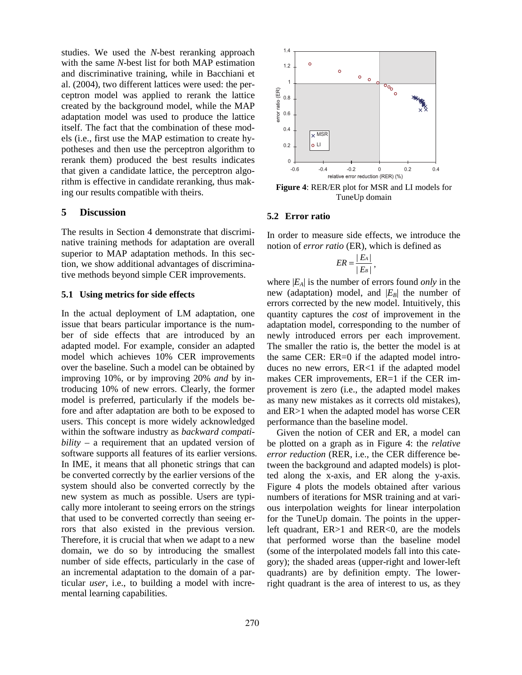studies. We used the *N*-best reranking approach with the same *N*-best list for both MAP estimation and discriminative training, while in Bacchiani et al. (2004), two different lattices were used: the perceptron model was applied to rerank the lattice created by the background model, while the MAP adaptation model was used to produce the lattice itself. The fact that the combination of these models (i.e., first use the MAP estimation to create hypotheses and then use the perceptron algorithm to rerank them) produced the best results indicates that given a candidate lattice, the perceptron algorithm is effective in candidate reranking, thus making our results compatible with theirs.

# **5 Discussion**

The results in Section 4 demonstrate that discriminative training methods for adaptation are overall superior to MAP adaptation methods. In this section, we show additional advantages of discriminative methods beyond simple CER improvements.

# **5.1 Using metrics for side effects**

In the actual deployment of LM adaptation, one issue that bears particular importance is the number of side effects that are introduced by an adapted model. For example, consider an adapted model which achieves 10% CER improvements over the baseline. Such a model can be obtained by improving 10%, or by improving 20% *and* by introducing 10% of new errors. Clearly, the former model is preferred, particularly if the models before and after adaptation are both to be exposed to users. This concept is more widely acknowledged within the software industry as *backward compatibility* – a requirement that an updated version of software supports all features of its earlier versions. In IME, it means that all phonetic strings that can be converted correctly by the earlier versions of the system should also be converted correctly by the new system as much as possible. Users are typically more intolerant to seeing errors on the strings that used to be converted correctly than seeing errors that also existed in the previous version. Therefore, it is crucial that when we adapt to a new domain, we do so by introducing the smallest number of side effects, particularly in the case of an incremental adaptation to the domain of a particular *user*, i.e., to building a model with incremental learning capabilities.



**Figure 4**: RER/ER plot for MSR and LI models for TuneUp domain

# **5.2 Error ratio**

In order to measure side effects, we introduce the notion of *error ratio* (ER), which is defined as

$$
ER = \frac{|E_A|}{|E_B|},
$$

where  $|E_A|$  is the number of errors found *only* in the new (adaptation) model, and  $|E_B|$  the number of errors corrected by the new model. Intuitively, this quantity captures the *cost* of improvement in the adaptation model, corresponding to the number of newly introduced errors per each improvement. The smaller the ratio is, the better the model is at the same CER: ER=0 if the adapted model introduces no new errors, ER<1 if the adapted model makes CER improvements, ER=1 if the CER improvement is zero (i.e., the adapted model makes as many new mistakes as it corrects old mistakes), and ER>1 when the adapted model has worse CER performance than the baseline model.

Given the notion of CER and ER, a model can be plotted on a graph as in Figure 4: the *relative error reduction* (RER, i.e., the CER difference between the background and adapted models) is plotted along the x-axis, and ER along the y-axis. Figure 4 plots the models obtained after various numbers of iterations for MSR training and at various interpolation weights for linear interpolation for the TuneUp domain. The points in the upperleft quadrant, ER>1 and RER<0, are the models that performed worse than the baseline model (some of the interpolated models fall into this category); the shaded areas (upper-right and lower-left quadrants) are by definition empty. The lowerright quadrant is the area of interest to us, as they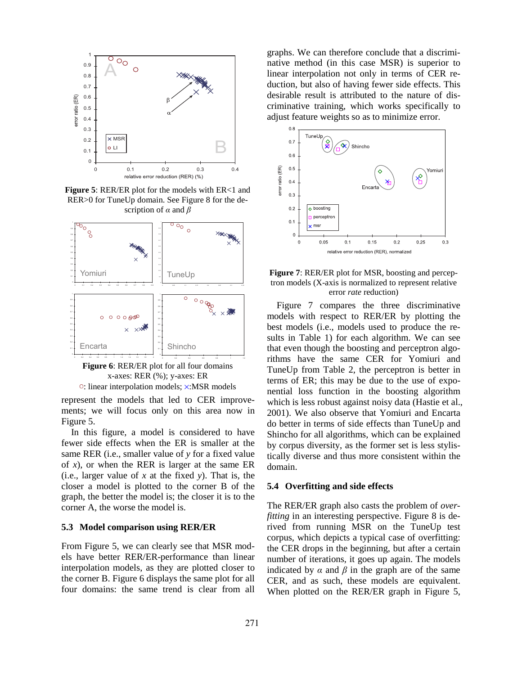

**Figure 5: RER/ER plot for the models with ER<1 and** RER>0 for TuneUp domain. See Figure 8 for the description of *α* and *β*



**Figure 6**: RER/ER plot for all four domains x-axes: RER (%); y-axes: ER ○: linear interpolation models; ×:MSR models

represent the models that led to CER improvements; we will focus only on this area now in Figure 5.

In this figure, a model is considered to have fewer side effects when the ER is smaller at the same RER (i.e., smaller value of *y* for a fixed value of *x*), or when the RER is larger at the same ER (i.e., larger value of *x* at the fixed *y*). That is, the closer a model is plotted to the corner B of the graph, the better the model is; the closer it is to the corner A, the worse the model is.

# **5.3 Model comparison using RER/ER**

From Figure 5, we can clearly see that MSR models have better RER/ER-performance than linear interpolation models, as they are plotted closer to the corner B. Figure 6 displays the same plot for all four domains: the same trend is clear from all

graphs. We can therefore conclude that a discriminative method (in this case MSR) is superior to linear interpolation not only in terms of CER reduction, but also of having fewer side effects. This desirable result is attributed to the nature of discriminative training, which works specifically to adjust feature weights so as to minimize error.





Figure 7 compares the three discriminative models with respect to RER/ER by plotting the best models (i.e., models used to produce the results in Table 1) for each algorithm. We can see that even though the boosting and perceptron algorithms have the same CER for Yomiuri and TuneUp from Table 2, the perceptron is better in terms of ER; this may be due to the use of exponential loss function in the boosting algorithm which is less robust against noisy data (Hastie et al., 2001). We also observe that Yomiuri and Encarta do better in terms of side effects than TuneUp and Shincho for all algorithms, which can be explained by corpus diversity, as the former set is less stylistically diverse and thus more consistent within the domain.

#### **5.4 Overfitting and side effects**

The RER/ER graph also casts the problem of *overfitting* in an interesting perspective. Figure 8 is derived from running MSR on the TuneUp test corpus, which depicts a typical case of overfitting: the CER drops in the beginning, but after a certain number of iterations, it goes up again. The models indicated by  $\alpha$  and  $\beta$  in the graph are of the same CER, and as such, these models are equivalent. When plotted on the RER/ER graph in Figure 5,